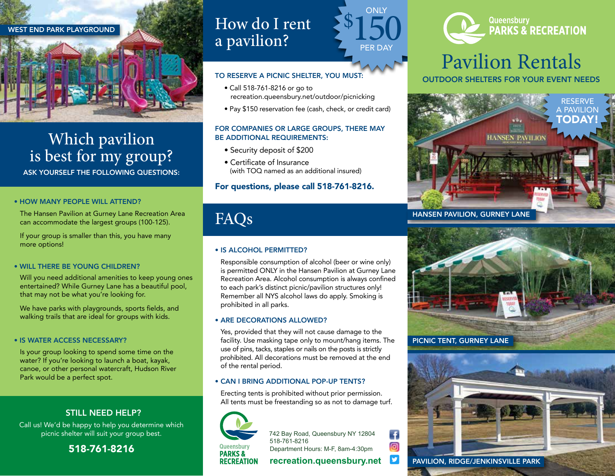

# Which pavilion is best for my group?

ASK YOURSELF THE FOLLOWING QUESTIONS:

## • HOW MANY PEOPLE WILL ATTEND?

The Hansen Pavilion at Gurney Lane Recreation Area<br>
can accommodate the largest groups (100-125). **FAQS** can accommodate the largest groups (100-125).

If your group is smaller than this, you have many more options!

## • WILL THERE BE YOUNG CHILDREN?

Will you need additional amenities to keep young ones entertained? While Gurney Lane has a beautiful pool, that may not be what you're looking for.

We have parks with playgrounds, sports fields, and walking trails that are ideal for groups with kids.

## • IS WATER ACCESS NECESSARY?

Is your group looking to spend some time on the water? If you're looking to launch a boat, kayak, canoe, or other personal watercraft, Hudson River Park would be a perfect spot.

## STILL NEED HELP?

Call us! We'd be happy to help you determine which picnic shelter will suit your group best.

518-761-8216

## How do I rent a pavilion?

## TO RESERVE A PICNIC SHELTER, YOU MUST:

- Call 518-761-8216 or go to recreation.queensbury.net/outdoor/picnicking
- Pay \$150 reservation fee (cash, check, or credit card)

**ONLY** 

\$

PER DA'

150

## FOR COMPANIES OR LARGE GROUPS, THERE MAY BE ADDITIONAL REQUIREMENTS:

- Security deposit of \$200
- Certificate of Insurance (with TOQ named as an additional insured)

## For questions, please call 518-761-8216.

## • IS ALCOHOL PERMITTED?

 Responsible consumption of alcohol (beer or wine only) is permitted ONLY in the Hansen Pavilion at Gurney Lane Recreation Area. Alcohol consumption is always confined to each park's distinct picnic/pavilion structures only! Remember all NYS alcohol laws do apply. Smoking is prohibited in all parks.

## • ARE DECORATIONS ALLOWED?

 Yes, provided that they will not cause damage to the facility. Use masking tape only to mount/hang items. The use of pins, tacks, staples or nails on the posts is strictly prohibited. All decorations must be removed at the end of the rental period.

## • CAN I BRING ADDITIONAL POP-UP TENTS?

 Erecting tents is prohibited without prior permission. All tents must be freestanding so as not to damage turf.



742 Bay Road, Queensbury NY 12804 518-761-8216 Department Hours: M-F, 8am-4:30pm

Ŧ ම

y

## **recreation.queensbury.net**



# **PARKS & RECREATION**

# Pavilion Rentals

OUTDOOR SHELTERS FOR YOUR EVENT NEEDS





PAVILION, RIDGE/JENKINSVILLE PARK

**RECREATION**